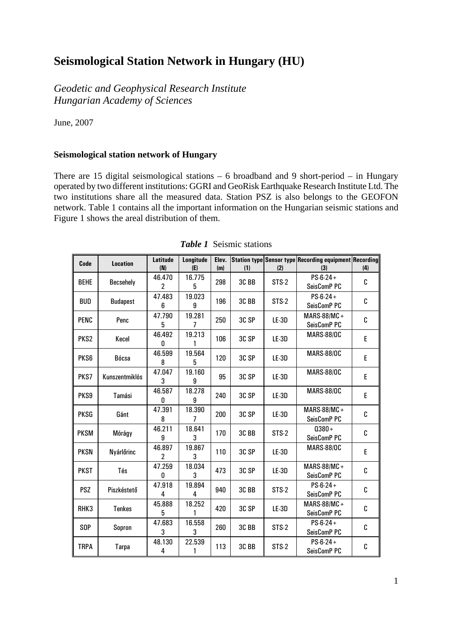## **Seismological Station Network in Hungary (HU)**

*Geodetic and Geophysical Research Institute Hungarian Academy of Sciences* 

June, 2007

## **Seismological station network of Hungary**

There are 15 digital seismological stations – 6 broadband and 9 short-period – in Hungary operated by two different institutions: GGRI and GeoRisk Earthquake Research Institute Ltd. The two institutions share all the measured data. Station PSZ is also belongs to the GEOFON network. Table 1 contains all the important information on the Hungarian seismic stations and Figure 1 shows the areal distribution of them.

| Code             | <b>Location</b>  | Latitude<br>(N) | Longitude<br>(E)         | Elev.<br>(m) | (1)              | (2)     | Station type Sensor type Recording equipment Recording<br>(3) | (4) |
|------------------|------------------|-----------------|--------------------------|--------------|------------------|---------|---------------------------------------------------------------|-----|
| <b>BEHE</b>      | <b>Becsehely</b> | 46.470<br>2     | 16.775<br>5              | 298          | 3C <sub>BB</sub> | $STS-2$ | $PS-6-24+$<br>SeisComP <sub>PC</sub>                          | C   |
| BUD              | <b>Budapest</b>  | 47.483<br>6     | 19.023<br>9              | 196          | 3CBB             | STS-2   | $PS-6-24+$<br>SeisComP PC                                     | C   |
| <b>PENC</b>      | Penc             | 47.790<br>5     | 19.281<br>$\overline{7}$ | 250          | 3C SP            | $LE-3D$ | MARS-88/MC+<br>SeisComP PC                                    | C   |
| PKS <sub>2</sub> | Kecel            | 46.492<br>0     | 19.213<br>1              | 106          | 3C SP            | $LE-3D$ | <b>MARS-88/OC</b>                                             | E   |
| PKS6             | Bócsa            | 46.599<br>8     | 19.564<br>5              | 120          | 3C SP            | LE-3D   | <b>MARS-88/0C</b>                                             | E   |
| PKS7             | Kunszentmiklós   | 47.047<br>3     | 19.160<br>9              | 95           | 3C SP            | LE-3D   | <b>MARS-88/0C</b>                                             | E   |
| PKS9             | Tamási           | 46.587<br>0     | 18.278<br>9              | 240          | 3C SP            | $LE-3D$ | <b>MARS-88/0C</b>                                             | E.  |
| <b>PKSG</b>      | Gánt             | 47.391<br>8     | 18.390<br>7              | 200          | 3C SP            | $LE-3D$ | MARS-88/MC+<br>SeisComP PC                                    | C   |
| <b>PKSM</b>      | Mórágy           | 46.211<br>9     | 18.641<br>3              | 170          | 3C BB            | STS-2   | $0380 +$<br>SeisComP PC                                       | C   |
| <b>PKSN</b>      | Nyárlőrinc       | 46.897<br>2     | 19.867<br>3              | 110          | 3C SP            | $LE-3D$ | <b>MARS-88/0C</b>                                             | E   |
| <b>PKST</b>      | Tés              | 47.259<br>0     | 18.034<br>3              | 473          | 3C SP            | LE-3D   | MARS-88/MC+<br>SeisComP PC                                    | C   |
| <b>PSZ</b>       | Piszkéstető      | 47.918<br>4     | 19.894<br>4              | 940          | 3CBB             | STS-2   | $PS-6-24+$<br>SeisComP PC                                     | C   |
| RHK3             | <b>Tenkes</b>    | 45.888<br>5     | 18.252<br>1              | 420          | 3C SP            | $LE-3D$ | MARS-88/MC+<br>SeisComP PC                                    | C   |
| <b>SOP</b>       | Sopron           | 47.683<br>3     | 16.558<br>3              | 260          | 3C BB            | STS-2   | $PS-6-24+$<br>SeisComP PC                                     | C   |
| <b>TRPA</b>      | <b>Tarpa</b>     | 48.130<br>4     | 22.539<br>1              | 113          | 3CBB             | STS-2   | $PS-6-24+$<br>SeisComP PC                                     | C   |

*Table 1* Seismic stations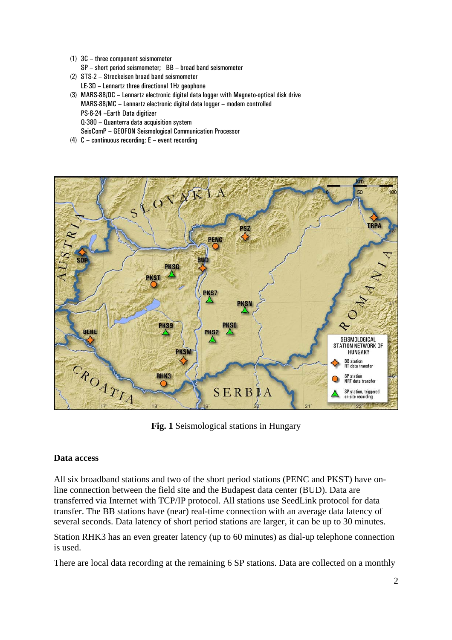- (1) 3C three component seismometer
- SP short period seismometer; BB broad band seismometer
- (2) STS-2 Streckeisen broad band seismometer LE-3D – Lennartz three directional 1Hz geophone
- (3) MARS-88/OC Lennartz electronic digital data logger with Magneto-optical disk drive MARS-88/MC – Lennartz electronic digital data logger – modem controlled PS-6-24 –Earth Data digitizer Q-380 – Quanterra data acquisition system SeisComP – GEOFON Seismological Communication Processor
- (4) C continuous recording; E event recording



**Fig. 1** Seismological stations in Hungary

## **Data access**

All six broadband stations and two of the short period stations (PENC and PKST) have online connection between the field site and the Budapest data center (BUD). Data are transferred via Internet with TCP/IP protocol. All stations use SeedLink protocol for data transfer. The BB stations have (near) real-time connection with an average data latency of several seconds. Data latency of short period stations are larger, it can be up to 30 minutes.

Station RHK3 has an even greater latency (up to 60 minutes) as dial-up telephone connection is used.

There are local data recording at the remaining 6 SP stations. Data are collected on a monthly